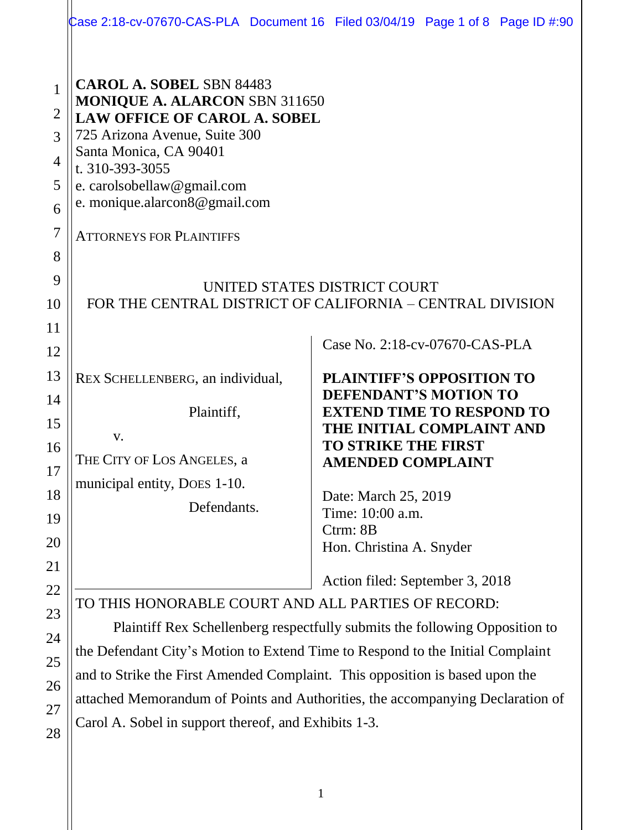|                                                                 |                                                                                                                                                                                                                                                                                                                                                                                       | Case 2:18-cv-07670-CAS-PLA Document 16 Filed 03/04/19 Page 1 of 8 Page ID #:90                                                                                                                                                                                                                                                                       |
|-----------------------------------------------------------------|---------------------------------------------------------------------------------------------------------------------------------------------------------------------------------------------------------------------------------------------------------------------------------------------------------------------------------------------------------------------------------------|------------------------------------------------------------------------------------------------------------------------------------------------------------------------------------------------------------------------------------------------------------------------------------------------------------------------------------------------------|
| $\mathbf{1}$<br>$\overline{2}$<br>3<br>$\overline{4}$<br>5<br>6 | <b>CAROL A. SOBEL SBN 84483</b><br><b>MONIQUE A. ALARCON SBN 311650</b><br><b>LAW OFFICE OF CAROL A. SOBEL</b><br>725 Arizona Avenue, Suite 300<br>Santa Monica, CA 90401<br>t. 310-393-3055<br>e. carolsobellaw@gmail.com<br>e. monique.alarcon8@gmail.com                                                                                                                           |                                                                                                                                                                                                                                                                                                                                                      |
| $\overline{7}$<br>8<br>9<br>10<br>11                            | <b>ATTORNEYS FOR PLAINTIFFS</b><br>UNITED STATES DISTRICT COURT<br>FOR THE CENTRAL DISTRICT OF CALIFORNIA – CENTRAL DIVISION                                                                                                                                                                                                                                                          |                                                                                                                                                                                                                                                                                                                                                      |
| 12<br>13<br>14<br>15<br>16<br>17<br>18<br>19<br><b>20</b><br>21 | REX SCHELLENBERG, an individual,<br>Plaintiff,<br>V.<br>THE CITY OF LOS ANGELES, a<br>municipal entity, DOES 1-10.<br>Defendants.                                                                                                                                                                                                                                                     | Case No. 2:18-cv-07670-CAS-PLA<br><b>PLAINTIFF'S OPPOSITION TO</b><br><b>DEFENDANT'S MOTION TO</b><br><b>EXTEND TIME TO RESPOND TO</b><br>THE INITIAL COMPLAINT AND<br><b>TO STRIKE THE FIRST</b><br><b>AMENDED COMPLAINT</b><br>Date: March 25, 2019<br>Time: 10:00 a.m.<br>Ctrm: 8B<br>Hon. Christina A. Snyder<br>Action filed: September 3, 2018 |
| 22<br>23<br>24<br>25<br>26<br>27                                | TO THIS HONORABLE COURT AND ALL PARTIES OF RECORD:<br>Plaintiff Rex Schellenberg respectfully submits the following Opposition to<br>the Defendant City's Motion to Extend Time to Respond to the Initial Complaint<br>and to Strike the First Amended Complaint. This opposition is based upon the<br>attached Memorandum of Points and Authorities, the accompanying Declaration of |                                                                                                                                                                                                                                                                                                                                                      |

Carol A. Sobel in support thereof, and Exhibits 1-3.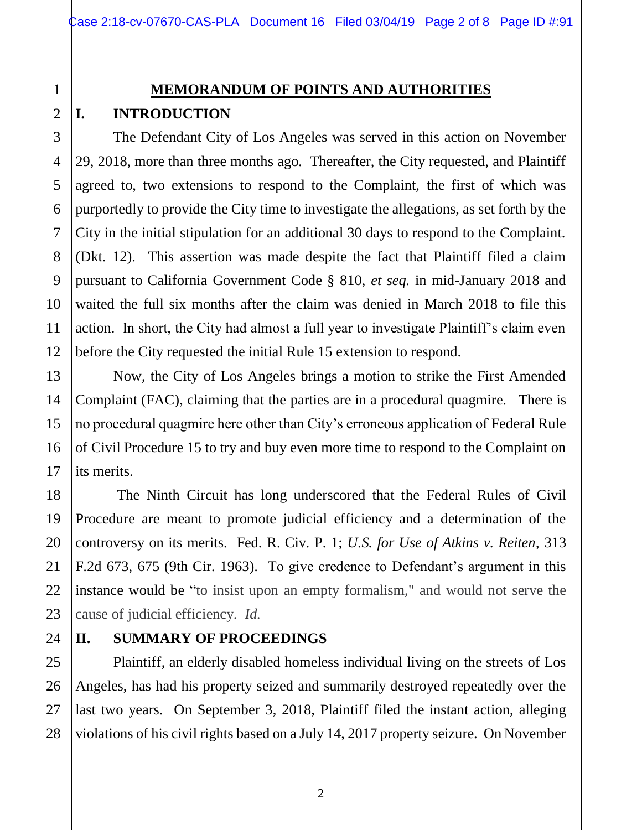# 2 3

4

1

# **MEMORANDUM OF POINTS AND AUTHORITIES I. INTRODUCTION**

The Defendant City of Los Angeles was served in this action on November 29, 2018, more than three months ago. Thereafter, the City requested, and Plaintiff agreed to, two extensions to respond to the Complaint, the first of which was purportedly to provide the City time to investigate the allegations, as set forth by the City in the initial stipulation for an additional 30 days to respond to the Complaint. (Dkt. 12). This assertion was made despite the fact that Plaintiff filed a claim pursuant to California Government Code § 810, *et seq.* in mid-January 2018 and waited the full six months after the claim was denied in March 2018 to file this action. In short, the City had almost a full year to investigate Plaintiff's claim even before the City requested the initial Rule 15 extension to respond.

Now, the City of Los Angeles brings a motion to strike the First Amended Complaint (FAC), claiming that the parties are in a procedural quagmire. There is no procedural quagmire here other than City's erroneous application of Federal Rule of Civil Procedure 15 to try and buy even more time to respond to the Complaint on its merits.

The Ninth Circuit has long underscored that the Federal Rules of Civil Procedure are meant to promote judicial efficiency and a determination of the controversy on its merits. Fed. R. Civ. P. 1; *U.S. for Use of Atkins v. Reiten*, 313 F.2d 673, 675 (9th Cir. 1963). To give credence to Defendant's argument in this instance would be "to insist upon an empty formalism," and would not serve the cause of judicial efficiency. *Id.*

# **II. SUMMARY OF PROCEEDINGS**

Plaintiff, an elderly disabled homeless individual living on the streets of Los Angeles, has had his property seized and summarily destroyed repeatedly over the last two years. On September 3, 2018, Plaintiff filed the instant action, alleging violations of his civil rights based on a July 14, 2017 property seizure. On November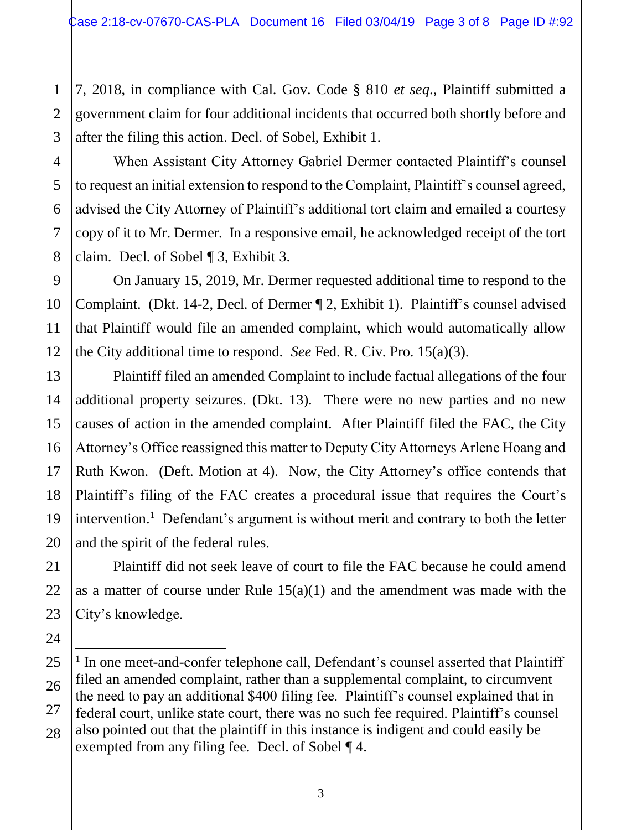7, 2018, in compliance with Cal. Gov. Code § 810 *et seq*., Plaintiff submitted a government claim for four additional incidents that occurred both shortly before and after the filing this action. Decl. of Sobel, Exhibit 1.

When Assistant City Attorney Gabriel Dermer contacted Plaintiff's counsel to request an initial extension to respond to the Complaint, Plaintiff's counsel agreed, advised the City Attorney of Plaintiff's additional tort claim and emailed a courtesy copy of it to Mr. Dermer. In a responsive email, he acknowledged receipt of the tort claim. Decl. of Sobel ¶ 3, Exhibit 3.

On January 15, 2019, Mr. Dermer requested additional time to respond to the Complaint. (Dkt. 14-2, Decl. of Dermer ¶ 2, Exhibit 1). Plaintiff's counsel advised that Plaintiff would file an amended complaint, which would automatically allow the City additional time to respond. *See* Fed. R. Civ. Pro. 15(a)(3).

Plaintiff filed an amended Complaint to include factual allegations of the four additional property seizures. (Dkt. 13). There were no new parties and no new causes of action in the amended complaint. After Plaintiff filed the FAC, the City Attorney's Office reassigned this matter to Deputy City Attorneys Arlene Hoang and Ruth Kwon. (Deft. Motion at 4). Now, the City Attorney's office contends that Plaintiff's filing of the FAC creates a procedural issue that requires the Court's intervention. 1 Defendant's argument is without merit and contrary to both the letter and the spirit of the federal rules.

Plaintiff did not seek leave of court to file the FAC because he could amend as a matter of course under Rule  $15(a)(1)$  and the amendment was made with the City's knowledge.

÷

1

<sup>&</sup>lt;sup>1</sup> In one meet-and-confer telephone call, Defendant's counsel asserted that Plaintiff filed an amended complaint, rather than a supplemental complaint, to circumvent the need to pay an additional \$400 filing fee. Plaintiff's counsel explained that in federal court, unlike state court, there was no such fee required. Plaintiff's counsel also pointed out that the plaintiff in this instance is indigent and could easily be exempted from any filing fee. Decl. of Sobel ¶ 4.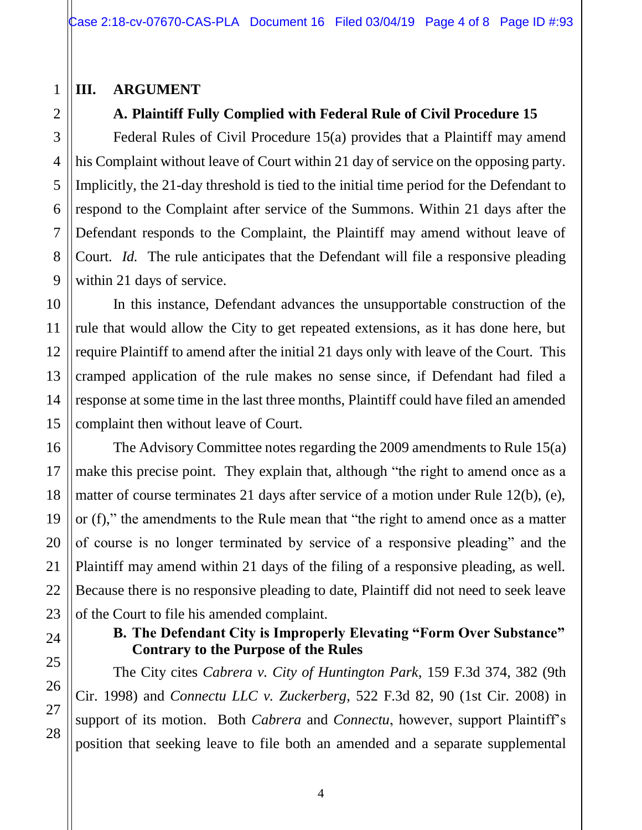### **III. ARGUMENT**

# **A. Plaintiff Fully Complied with Federal Rule of Civil Procedure 15**

Federal Rules of Civil Procedure 15(a) provides that a Plaintiff may amend his Complaint without leave of Court within 21 day of service on the opposing party. Implicitly, the 21-day threshold is tied to the initial time period for the Defendant to respond to the Complaint after service of the Summons. Within 21 days after the Defendant responds to the Complaint, the Plaintiff may amend without leave of Court. *Id.* The rule anticipates that the Defendant will file a responsive pleading within 21 days of service.

In this instance, Defendant advances the unsupportable construction of the rule that would allow the City to get repeated extensions, as it has done here, but require Plaintiff to amend after the initial 21 days only with leave of the Court. This cramped application of the rule makes no sense since, if Defendant had filed a response at some time in the last three months, Plaintiff could have filed an amended complaint then without leave of Court.

The Advisory Committee notes regarding the 2009 amendments to Rule 15(a) make this precise point. They explain that, although "the right to amend once as a matter of course terminates 21 days after service of a motion under Rule 12(b), (e), or (f)," the amendments to the Rule mean that "the right to amend once as a matter of course is no longer terminated by service of a responsive pleading" and the Plaintiff may amend within 21 days of the filing of a responsive pleading, as well. Because there is no responsive pleading to date, Plaintiff did not need to seek leave of the Court to file his amended complaint.

## **B. The Defendant City is Improperly Elevating "Form Over Substance" Contrary to the Purpose of the Rules**

The City cites *Cabrera v. City of Huntington Park*, 159 F.3d 374, 382 (9th Cir. 1998) and *Connectu LLC v. Zuckerberg*, 522 F.3d 82, 90 (1st Cir. 2008) in support of its motion. Both *Cabrera* and *Connectu*, however, support Plaintiff's position that seeking leave to file both an amended and a separate supplemental

1

2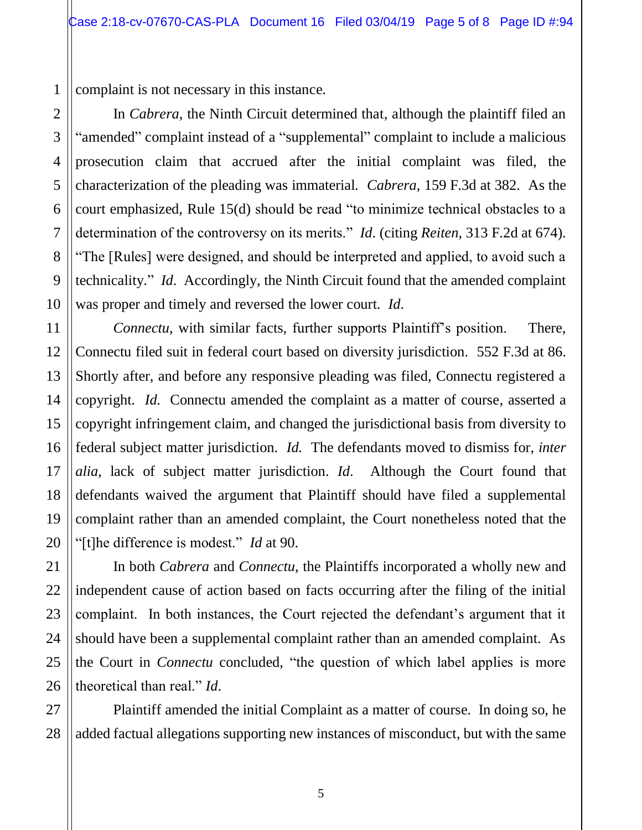1 complaint is not necessary in this instance.

In *Cabrera*, the Ninth Circuit determined that, although the plaintiff filed an "amended" complaint instead of a "supplemental" complaint to include a malicious prosecution claim that accrued after the initial complaint was filed, the characterization of the pleading was immaterial. *Cabrera*, 159 F.3d at 382. As the court emphasized, Rule 15(d) should be read "to minimize technical obstacles to a determination of the controversy on its merits." *Id*. (citing *Reiten*, 313 F.2d at 674). "The [Rules] were designed, and should be interpreted and applied, to avoid such a technicality." *Id*. Accordingly, the Ninth Circuit found that the amended complaint was proper and timely and reversed the lower court. *Id*.

*Connectu*, with similar facts, further supports Plaintiff's position. There, Connectu filed suit in federal court based on diversity jurisdiction. 552 F.3d at 86. Shortly after, and before any responsive pleading was filed, Connectu registered a copyright. *Id.* Connectu amended the complaint as a matter of course, asserted a copyright infringement claim, and changed the jurisdictional basis from diversity to federal subject matter jurisdiction. *Id.* The defendants moved to dismiss for, *inter alia*, lack of subject matter jurisdiction. *Id*. Although the Court found that defendants waived the argument that Plaintiff should have filed a supplemental complaint rather than an amended complaint, the Court nonetheless noted that the "[t]he difference is modest." *Id* at 90.

In both *Cabrera* and *Connectu*, the Plaintiffs incorporated a wholly new and independent cause of action based on facts occurring after the filing of the initial complaint. In both instances, the Court rejected the defendant's argument that it should have been a supplemental complaint rather than an amended complaint. As the Court in *Connectu* concluded, "the question of which label applies is more theoretical than real." *Id*.

Plaintiff amended the initial Complaint as a matter of course. In doing so, he added factual allegations supporting new instances of misconduct, but with the same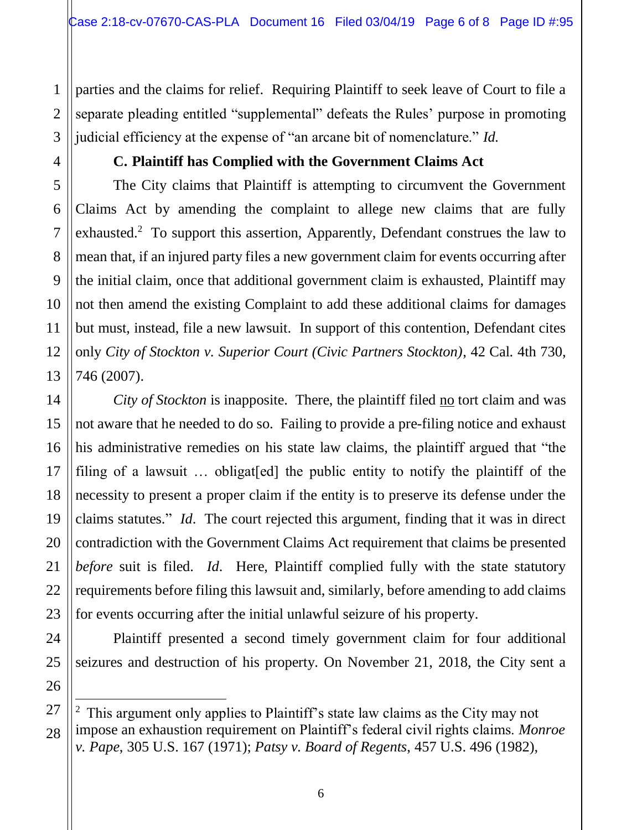parties and the claims for relief. Requiring Plaintiff to seek leave of Court to file a separate pleading entitled "supplemental" defeats the Rules' purpose in promoting judicial efficiency at the expense of "an arcane bit of nomenclature." *Id.*

#### **C. Plaintiff has Complied with the Government Claims Act**

The City claims that Plaintiff is attempting to circumvent the Government Claims Act by amending the complaint to allege new claims that are fully exhausted.<sup>2</sup> To support this assertion, Apparently, Defendant construes the law to mean that, if an injured party files a new government claim for events occurring after the initial claim, once that additional government claim is exhausted, Plaintiff may not then amend the existing Complaint to add these additional claims for damages but must, instead, file a new lawsuit. In support of this contention, Defendant cites only *City of Stockton v. Superior Court (Civic Partners Stockton)*, 42 Cal. 4th 730, 746 (2007).

*City of Stockton* is inapposite. There, the plaintiff filed no tort claim and was not aware that he needed to do so. Failing to provide a pre-filing notice and exhaust his administrative remedies on his state law claims, the plaintiff argued that "the filing of a lawsuit … obligat[ed] the public entity to notify the plaintiff of the necessity to present a proper claim if the entity is to preserve its defense under the claims statutes." *Id*. The court rejected this argument, finding that it was in direct contradiction with the Government Claims Act requirement that claims be presented *before* suit is filed. *Id*. Here, Plaintiff complied fully with the state statutory requirements before filing this lawsuit and, similarly, before amending to add claims for events occurring after the initial unlawful seizure of his property.

Plaintiff presented a second timely government claim for four additional seizures and destruction of his property. On November 21, 2018, the City sent a

ı

<sup>&</sup>lt;sup>2</sup> This argument only applies to Plaintiff's state law claims as the City may not impose an exhaustion requirement on Plaintiff's federal civil rights claims. *Monroe v. Pape*, 305 U.S. 167 (1971); *Patsy v. Board of Regents*, 457 U.S. 496 (1982),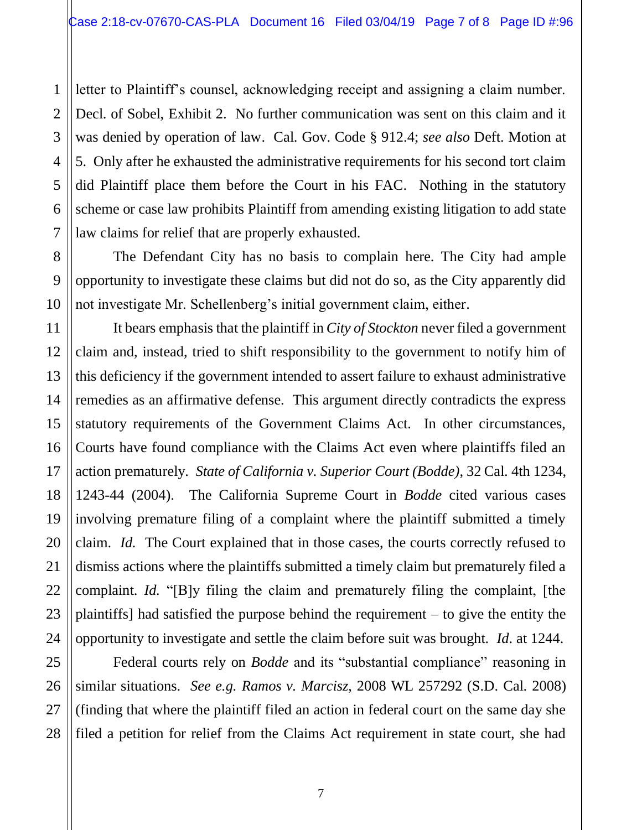letter to Plaintiff's counsel, acknowledging receipt and assigning a claim number. Decl. of Sobel, Exhibit 2. No further communication was sent on this claim and it was denied by operation of law. Cal. Gov. Code § 912.4; *see also* Deft. Motion at 5. Only after he exhausted the administrative requirements for his second tort claim did Plaintiff place them before the Court in his FAC. Nothing in the statutory scheme or case law prohibits Plaintiff from amending existing litigation to add state law claims for relief that are properly exhausted.

The Defendant City has no basis to complain here. The City had ample opportunity to investigate these claims but did not do so, as the City apparently did not investigate Mr. Schellenberg's initial government claim, either.

It bears emphasis that the plaintiff in *City of Stockton* never filed a government claim and, instead, tried to shift responsibility to the government to notify him of this deficiency if the government intended to assert failure to exhaust administrative remedies as an affirmative defense. This argument directly contradicts the express statutory requirements of the Government Claims Act. In other circumstances, Courts have found compliance with the Claims Act even where plaintiffs filed an action prematurely. *State of California v. Superior Court (Bodde)*, 32 Cal. 4th 1234, 1243-44 (2004). The California Supreme Court in *Bodde* cited various cases involving premature filing of a complaint where the plaintiff submitted a timely claim. *Id.* The Court explained that in those cases, the courts correctly refused to dismiss actions where the plaintiffs submitted a timely claim but prematurely filed a complaint. *Id.* "[B]y filing the claim and prematurely filing the complaint, [the plaintiffs] had satisfied the purpose behind the requirement – to give the entity the opportunity to investigate and settle the claim before suit was brought. *Id*. at 1244.

Federal courts rely on *Bodde* and its "substantial compliance" reasoning in similar situations. *See e.g. Ramos v. Marcisz*, 2008 WL 257292 (S.D. Cal. 2008) (finding that where the plaintiff filed an action in federal court on the same day she filed a petition for relief from the Claims Act requirement in state court, she had

1